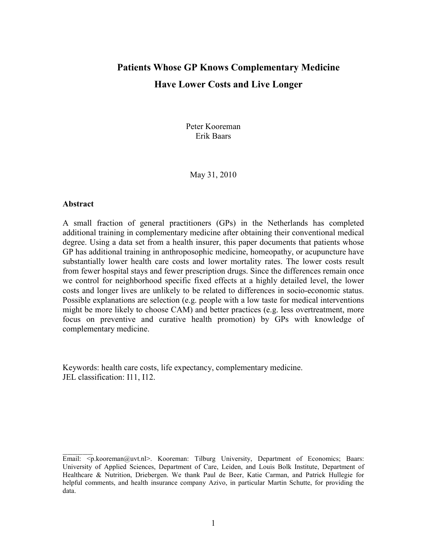# Patients Whose GP Knows Complementary Medicine Have Lower Costs and Live Longer

Peter Kooreman Erik Baars

May 31, 2010

#### Abstract

 $\overline{\phantom{a}}$   $\overline{\phantom{a}}$ 

A small fraction of general practitioners (GPs) in the Netherlands has completed additional training in complementary medicine after obtaining their conventional medical degree. Using a data set from a health insurer, this paper documents that patients whose GP has additional training in anthroposophic medicine, homeopathy, or acupuncture have substantially lower health care costs and lower mortality rates. The lower costs result from fewer hospital stays and fewer prescription drugs. Since the differences remain once we control for neighborhood specific fixed effects at a highly detailed level, the lower costs and longer lives are unlikely to be related to differences in socio-economic status. Possible explanations are selection (e.g. people with a low taste for medical interventions might be more likely to choose CAM) and better practices (e.g. less overtreatment, more focus on preventive and curative health promotion) by GPs with knowledge of complementary medicine.

Keywords: health care costs, life expectancy, complementary medicine. JEL classification: I11, I12.

Email: <p.kooreman@uvt.nl>. Kooreman: Tilburg University, Department of Economics: Baars: University of Applied Sciences, Department of Care, Leiden, and Louis Bolk Institute, Department of Healthcare & Nutrition, Driebergen. We thank Paul de Beer, Katie Carman, and Patrick Hullegie for helpful comments, and health insurance company Azivo, in particular Martin Schutte, for providing the data.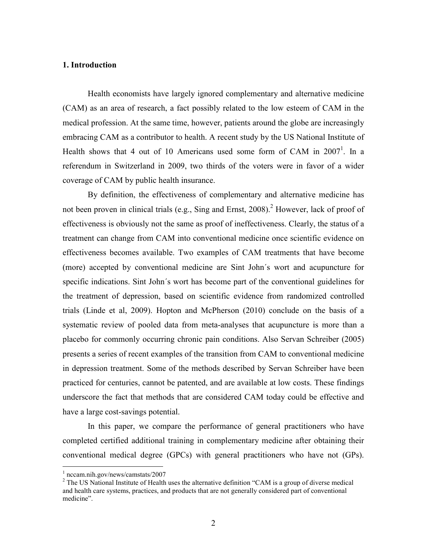### 1. Introduction

Health economists have largely ignored complementary and alternative medicine (CAM) as an area of research, a fact possibly related to the low esteem of CAM in the medical profession. At the same time, however, patients around the globe are increasingly embracing CAM as a contributor to health. A recent study by the US National Institute of Health shows that 4 out of 10 Americans used some form of CAM in  $2007<sup>1</sup>$ . In a referendum in Switzerland in 2009, two thirds of the voters were in favor of a wider coverage of CAM by public health insurance.

By definition, the effectiveness of complementary and alternative medicine has not been proven in clinical trials (e.g., Sing and Ernst,  $2008$ ).<sup>2</sup> However, lack of proof of effectiveness is obviously not the same as proof of ineffectiveness. Clearly, the status of a treatment can change from CAM into conventional medicine once scientific evidence on effectiveness becomes available. Two examples of CAM treatments that have become (more) accepted by conventional medicine are Sint John´s wort and acupuncture for specific indications. Sint John´s wort has become part of the conventional guidelines for the treatment of depression, based on scientific evidence from randomized controlled trials (Linde et al, 2009). Hopton and McPherson (2010) conclude on the basis of a systematic review of pooled data from meta-analyses that acupuncture is more than a placebo for commonly occurring chronic pain conditions. Also Servan Schreiber (2005) presents a series of recent examples of the transition from CAM to conventional medicine in depression treatment. Some of the methods described by Servan Schreiber have been practiced for centuries, cannot be patented, and are available at low costs. These findings underscore the fact that methods that are considered CAM today could be effective and have a large cost-savings potential.

In this paper, we compare the performance of general practitioners who have completed certified additional training in complementary medicine after obtaining their conventional medical degree (GPCs) with general practitioners who have not (GPs).

 1 nccam.nih.gov/news/camstats/2007

 $2$  The US National Institute of Health uses the alternative definition "CAM is a group of diverse medical and health care systems, practices, and products that are not generally considered part of conventional medicine".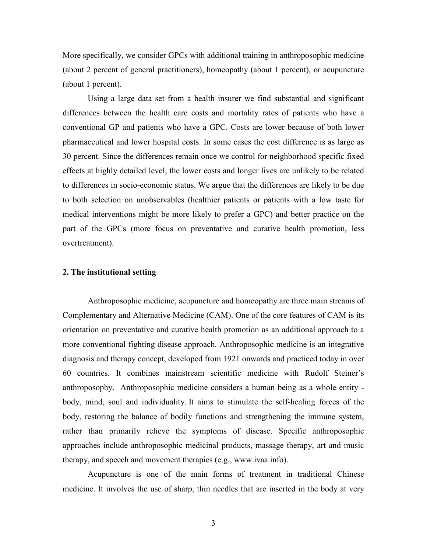More specifically, we consider GPCs with additional training in anthroposophic medicine (about 2 percent of general practitioners), homeopathy (about 1 percent), or acupuncture (about 1 percent).

Using a large data set from a health insurer we find substantial and significant differences between the health care costs and mortality rates of patients who have a conventional GP and patients who have a GPC. Costs are lower because of both lower pharmaceutical and lower hospital costs. In some cases the cost difference is as large as 30 percent. Since the differences remain once we control for neighborhood specific fixed effects at highly detailed level, the lower costs and longer lives are unlikely to be related to differences in socio-economic status. We argue that the differences are likely to be due to both selection on unobservables (healthier patients or patients with a low taste for medical interventions might be more likely to prefer a GPC) and better practice on the part of the GPCs (more focus on preventative and curative health promotion, less overtreatment).

#### 2. The institutional setting

Anthroposophic medicine, acupuncture and homeopathy are three main streams of Complementary and Alternative Medicine (CAM). One of the core features of CAM is its orientation on preventative and curative health promotion as an additional approach to a more conventional fighting disease approach. Anthroposophic medicine is an integrative diagnosis and therapy concept, developed from 1921 onwards and practiced today in over 60 countries. It combines mainstream scientific medicine with Rudolf Steiner's anthroposophy. Anthroposophic medicine considers a human being as a whole entity body, mind, soul and individuality. It aims to stimulate the self-healing forces of the body, restoring the balance of bodily functions and strengthening the immune system, rather than primarily relieve the symptoms of disease. Specific anthroposophic approaches include anthroposophic medicinal products, massage therapy, art and music therapy, and speech and movement therapies (e.g., www.ivaa.info).

Acupuncture is one of the main forms of treatment in traditional Chinese medicine. It involves the use of sharp, thin needles that are inserted in the body at very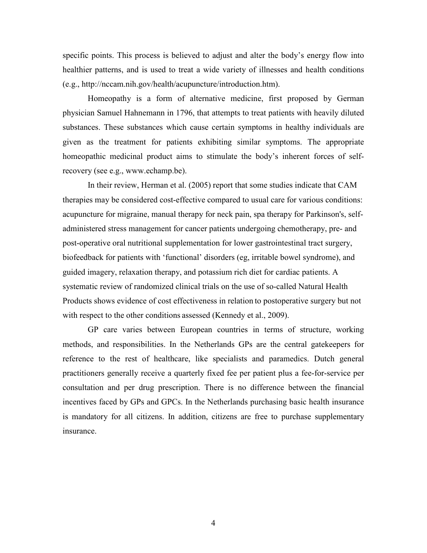specific points. This process is believed to adjust and alter the body's energy flow into healthier patterns, and is used to treat a wide variety of illnesses and health conditions (e.g., http://nccam.nih.gov/health/acupuncture/introduction.htm).

Homeopathy is a form of alternative medicine, first proposed by German physician Samuel Hahnemann in 1796, that attempts to treat patients with heavily diluted substances. These substances which cause certain symptoms in healthy individuals are given as the treatment for patients exhibiting similar symptoms. The appropriate homeopathic medicinal product aims to stimulate the body's inherent forces of selfrecovery (see e.g., www.echamp.be).

In their review, Herman et al. (2005) report that some studies indicate that CAM therapies may be considered cost-effective compared to usual care for various conditions: acupuncture for migraine, manual therapy for neck pain, spa therapy for Parkinson's, selfadministered stress management for cancer patients undergoing chemotherapy, pre- and post-operative oral nutritional supplementation for lower gastrointestinal tract surgery, biofeedback for patients with 'functional' disorders (eg, irritable bowel syndrome), and guided imagery, relaxation therapy, and potassium rich diet for cardiac patients. A systematic review of randomized clinical trials on the use of so-called Natural Health Products shows evidence of cost effectiveness in relation to postoperative surgery but not with respect to the other conditions assessed (Kennedy et al., 2009).

GP care varies between European countries in terms of structure, working methods, and responsibilities. In the Netherlands GPs are the central gatekeepers for reference to the rest of healthcare, like specialists and paramedics. Dutch general practitioners generally receive a quarterly fixed fee per patient plus a fee-for-service per consultation and per drug prescription. There is no difference between the financial incentives faced by GPs and GPCs. In the Netherlands purchasing basic health insurance is mandatory for all citizens. In addition, citizens are free to purchase supplementary insurance.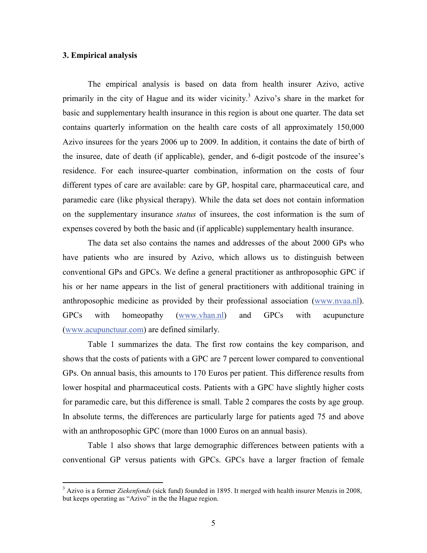### 3. Empirical analysis

The empirical analysis is based on data from health insurer Azivo, active primarily in the city of Hague and its wider vicinity.<sup>3</sup> Azivo's share in the market for basic and supplementary health insurance in this region is about one quarter. The data set contains quarterly information on the health care costs of all approximately 150,000 Azivo insurees for the years 2006 up to 2009. In addition, it contains the date of birth of the insuree, date of death (if applicable), gender, and 6-digit postcode of the insuree's residence. For each insuree-quarter combination, information on the costs of four different types of care are available: care by GP, hospital care, pharmaceutical care, and paramedic care (like physical therapy). While the data set does not contain information on the supplementary insurance *status* of insurees, the cost information is the sum of expenses covered by both the basic and (if applicable) supplementary health insurance.

The data set also contains the names and addresses of the about 2000 GPs who have patients who are insured by Azivo, which allows us to distinguish between conventional GPs and GPCs. We define a general practitioner as anthroposophic GPC if his or her name appears in the list of general practitioners with additional training in anthroposophic medicine as provided by their professional association (www.nvaa.nl). GPCs with homeopathy (www.vhan.nl) and GPCs with acupuncture (www.acupunctuur.com) are defined similarly.

Table 1 summarizes the data. The first row contains the key comparison, and shows that the costs of patients with a GPC are 7 percent lower compared to conventional GPs. On annual basis, this amounts to 170 Euros per patient. This difference results from lower hospital and pharmaceutical costs. Patients with a GPC have slightly higher costs for paramedic care, but this difference is small. Table 2 compares the costs by age group. In absolute terms, the differences are particularly large for patients aged 75 and above with an anthroposophic GPC (more than 1000 Euros on an annual basis).

Table 1 also shows that large demographic differences between patients with a conventional GP versus patients with GPCs. GPCs have a larger fraction of female

<sup>&</sup>lt;sup>3</sup> Azivo is a former Ziekenfonds (sick fund) founded in 1895. It merged with health insurer Menzis in 2008, but keeps operating as "Azivo" in the the Hague region.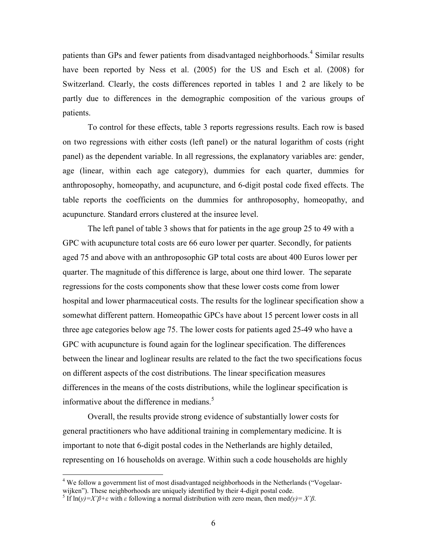patients than GPs and fewer patients from disadvantaged neighborhoods.<sup>4</sup> Similar results have been reported by Ness et al. (2005) for the US and Esch et al. (2008) for Switzerland. Clearly, the costs differences reported in tables 1 and 2 are likely to be partly due to differences in the demographic composition of the various groups of patients.

To control for these effects, table 3 reports regressions results. Each row is based on two regressions with either costs (left panel) or the natural logarithm of costs (right panel) as the dependent variable. In all regressions, the explanatory variables are: gender, age (linear, within each age category), dummies for each quarter, dummies for anthroposophy, homeopathy, and acupuncture, and 6-digit postal code fixed effects. The table reports the coefficients on the dummies for anthroposophy, homeopathy, and acupuncture. Standard errors clustered at the insuree level.

 The left panel of table 3 shows that for patients in the age group 25 to 49 with a GPC with acupuncture total costs are 66 euro lower per quarter. Secondly, for patients aged 75 and above with an anthroposophic GP total costs are about 400 Euros lower per quarter. The magnitude of this difference is large, about one third lower. The separate regressions for the costs components show that these lower costs come from lower hospital and lower pharmaceutical costs. The results for the loglinear specification show a somewhat different pattern. Homeopathic GPCs have about 15 percent lower costs in all three age categories below age 75. The lower costs for patients aged 25-49 who have a GPC with acupuncture is found again for the loglinear specification. The differences between the linear and loglinear results are related to the fact the two specifications focus on different aspects of the cost distributions. The linear specification measures differences in the means of the costs distributions, while the loglinear specification is informative about the difference in medians.<sup>5</sup>

 Overall, the results provide strong evidence of substantially lower costs for general practitioners who have additional training in complementary medicine. It is important to note that 6-digit postal codes in the Netherlands are highly detailed, representing on 16 households on average. Within such a code households are highly

 $\overline{a}$ 

<sup>&</sup>lt;sup>4</sup> We follow a government list of most disadvantaged neighborhoods in the Netherlands ("Vogelaarwijken"). These neighborhoods are uniquely identified by their 4-digit postal code.

<sup>&</sup>lt;sup>5</sup> If ln(y)=X' $\beta$ +ε with ε following a normal distribution with zero mean, then med(y)= X' $\beta$ .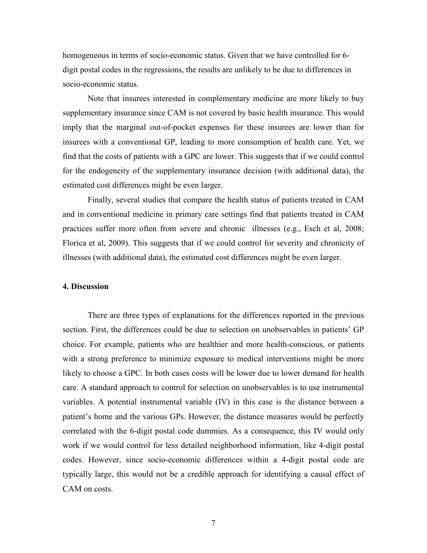homogeneous in terms of socio-economic status. Given that we have controlled for 6 digit postal codes in the regressions, the results are unlikely to be due to differences in socio-economic status.

Note that insurees interested in complementary medicine are more likely to buy supplementary insurance since CAM is not covered by basic health insurance. This would imply that the marginal out-of-pocket expenses for these insurees are lower than for insurees with a conventional GP, leading to more consumption of health care. Yet, we find that the costs of patients with a GPC are lower. This suggests that if we could control for the endogeneity of the supplementary insurance decision (with additional data), the estimated cost differences might be even larger.

Finally, several studies that compare the health status of patients treated in CAM and in conventional medicine in primary care settings find that patients treated in CAM practices suffer more often from severe and chronic illnesses (e.g., Esch et al, 2008; Florica et al, 2009). This suggests that if we could control for severity and chronicity of illnesses (with additional data), the estimated cost differences might be even larger.

#### 4. Discussion

There are three types of explanations for the differences reported in the previous section. First, the differences could be due to selection on unobservables in patients' GP choice. For example, patients who are healthier and more health-conscious, or patients with a strong preference to minimize exposure to medical interventions might be more likely to choose a GPC. In both cases costs will be lower due to lower demand for health care. A standard approach to control for selection on unobservables is to use instrumental variables. A potential instrumental variable (IV) in this case is the distance between a patient's home and the various GPs. However, the distance measures would be perfectly correlated with the 6-digit postal code dummies. As a consequence, this IV would only work if we would control for less detailed neighborhood information, like 4-digit postal codes. However, since socio-economic differences within a 4-digit postal code are typically large, this would not be a credible approach for identifying a causal effect of CAM on costs.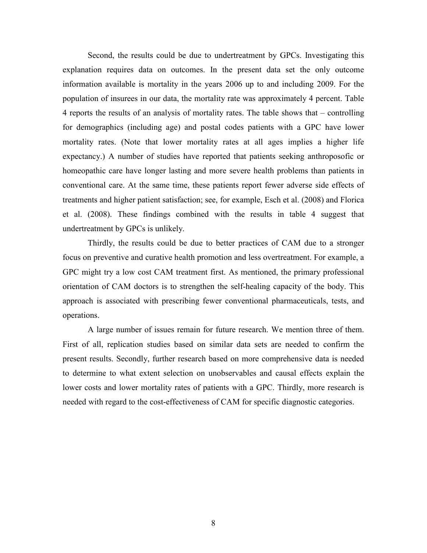Second, the results could be due to undertreatment by GPCs. Investigating this explanation requires data on outcomes. In the present data set the only outcome information available is mortality in the years 2006 up to and including 2009. For the population of insurees in our data, the mortality rate was approximately 4 percent. Table 4 reports the results of an analysis of mortality rates. The table shows that – controlling for demographics (including age) and postal codes patients with a GPC have lower mortality rates. (Note that lower mortality rates at all ages implies a higher life expectancy.) A number of studies have reported that patients seeking anthroposofic or homeopathic care have longer lasting and more severe health problems than patients in conventional care. At the same time, these patients report fewer adverse side effects of treatments and higher patient satisfaction; see, for example, Esch et al. (2008) and Florica et al. (2008). These findings combined with the results in table 4 suggest that undertreatment by GPCs is unlikely.

Thirdly, the results could be due to better practices of CAM due to a stronger focus on preventive and curative health promotion and less overtreatment. For example, a GPC might try a low cost CAM treatment first. As mentioned, the primary professional orientation of CAM doctors is to strengthen the self-healing capacity of the body. This approach is associated with prescribing fewer conventional pharmaceuticals, tests, and operations.

A large number of issues remain for future research. We mention three of them. First of all, replication studies based on similar data sets are needed to confirm the present results. Secondly, further research based on more comprehensive data is needed to determine to what extent selection on unobservables and causal effects explain the lower costs and lower mortality rates of patients with a GPC. Thirdly, more research is needed with regard to the cost-effectiveness of CAM for specific diagnostic categories.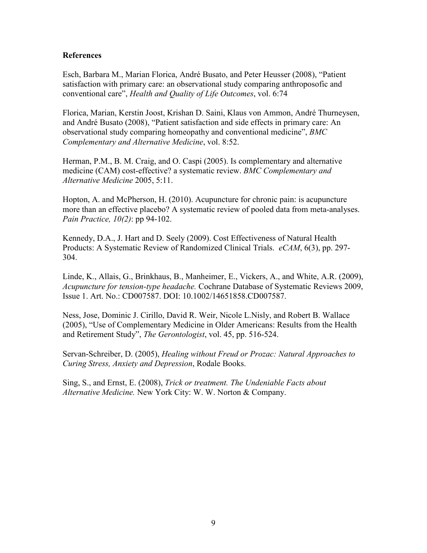## **References**

Esch, Barbara M., Marian Florica, André Busato, and Peter Heusser (2008), "Patient satisfaction with primary care: an observational study comparing anthroposofic and conventional care", Health and Quality of Life Outcomes, vol. 6:74

Florica, Marian, Kerstin Joost, Krishan D. Saini, Klaus von Ammon, André Thurneysen, and André Busato (2008), "Patient satisfaction and side effects in primary care: An observational study comparing homeopathy and conventional medicine", BMC Complementary and Alternative Medicine, vol. 8:52.

Herman, P.M., B. M. Craig, and O. Caspi (2005). Is complementary and alternative medicine (CAM) cost-effective? a systematic review. BMC Complementary and Alternative Medicine 2005, 5:11.

Hopton, A. and McPherson, H. (2010). Acupuncture for chronic pain: is acupuncture more than an effective placebo? A systematic review of pooled data from meta-analyses. Pain Practice, 10(2): pp 94-102.

Kennedy, D.A., J. Hart and D. Seely (2009). Cost Effectiveness of Natural Health Products: A Systematic Review of Randomized Clinical Trials. *eCAM*, 6(3), pp. 297-304.

Linde, K., Allais, G., Brinkhaus, B., Manheimer, E., Vickers, A., and White, A.R. (2009), Acupuncture for tension-type headache. Cochrane Database of Systematic Reviews 2009, Issue 1. Art. No.: CD007587. DOI: 10.1002/14651858.CD007587.

Ness, Jose, Dominic J. Cirillo, David R. Weir, Nicole L.Nisly, and Robert B. Wallace (2005), "Use of Complementary Medicine in Older Americans: Results from the Health and Retirement Study", The Gerontologist, vol. 45, pp. 516-524.

Servan-Schreiber, D. (2005), Healing without Freud or Prozac: Natural Approaches to Curing Stress, Anxiety and Depression, Rodale Books.

Sing, S., and Ernst, E. (2008), Trick or treatment. The Undeniable Facts about Alternative Medicine. New York City: W. W. Norton & Company.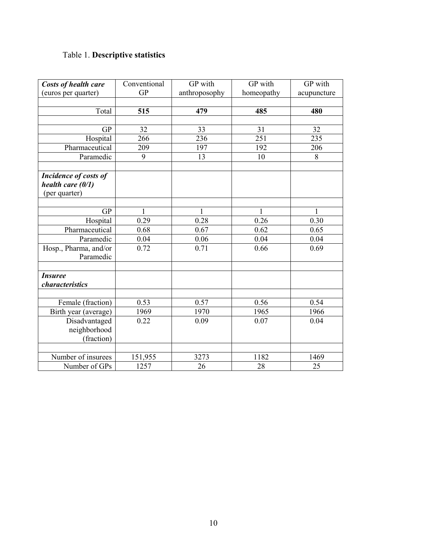# Table 1. Descriptive statistics

| Costs of health care  | Conventional | GP with       | GP with      | GP with     |
|-----------------------|--------------|---------------|--------------|-------------|
| (euros per quarter)   | <b>GP</b>    | anthroposophy | homeopathy   | acupuncture |
|                       |              |               |              |             |
| Total                 | 515          | 479           | 485          | 480         |
|                       |              |               |              |             |
| <b>GP</b>             | 32           | 33            | 31           | 32          |
| Hospital              | 266          | 236           | 251          | 235         |
| Pharmaceutical        | 209          | 197           | 192          | 206         |
| Paramedic             | 9            | 13            | 10           | 8           |
|                       |              |               |              |             |
| Incidence of costs of |              |               |              |             |
| health care $(0/1)$   |              |               |              |             |
| (per quarter)         |              |               |              |             |
| <b>GP</b>             | 1            | 1             | $\mathbf{1}$ | 1           |
| Hospital              | 0.29         | 0.28          | 0.26         | 0.30        |
| Pharmaceutical        | 0.68         | 0.67          | 0.62         | 0.65        |
| Paramedic             | 0.04         | 0.06          | 0.04         | 0.04        |
| Hosp., Pharma, and/or | 0.72         | 0.71          | 0.66         | 0.69        |
| Paramedic             |              |               |              |             |
|                       |              |               |              |             |
| <b>Insuree</b>        |              |               |              |             |
| characteristics       |              |               |              |             |
|                       |              |               |              |             |
| Female (fraction)     | 0.53         | 0.57          | 0.56         | 0.54        |
| Birth year (average)  | 1969         | 1970          | 1965         | 1966        |
| Disadvantaged         | 0.22         | 0.09          | 0.07         | 0.04        |
| neighborhood          |              |               |              |             |
| (fraction)            |              |               |              |             |
|                       |              |               |              |             |
| Number of insurees    | 151,955      | 3273          | 1182         | 1469        |
| Number of GPs         | 1257         | 26            | 28           | 25          |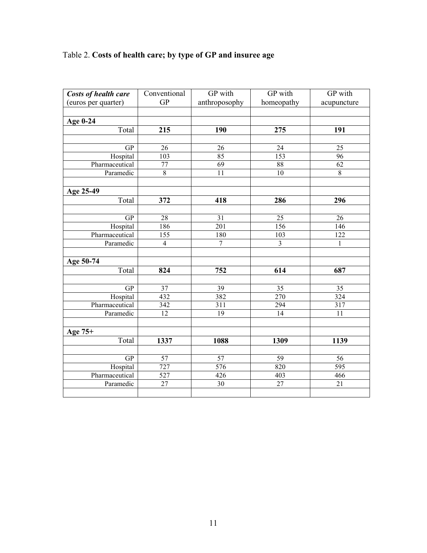# Table 2. Costs of health care; by type of GP and insuree age

| Costs of health care | Conventional     | GP with        | GP with          | GP with          |
|----------------------|------------------|----------------|------------------|------------------|
| (euros per quarter)  | <b>GP</b>        | anthroposophy  | homeopathy       | acupuncture      |
|                      |                  |                |                  |                  |
| Age 0-24             |                  |                |                  |                  |
| Total                | 215              | 190            | 275              | 191              |
|                      |                  |                |                  |                  |
| <b>GP</b>            | 26               | 26             | 24               | 25               |
| Hospital             | $\overline{103}$ | 85             | $\overline{153}$ | $\overline{96}$  |
| Pharmaceutical       | $\overline{77}$  | 69             | 88               | $\overline{62}$  |
| Paramedic            | $\overline{8}$   | 11             | $\overline{10}$  | $\overline{8}$   |
|                      |                  |                |                  |                  |
| Age 25-49            |                  |                |                  |                  |
| Total                | 372              | 418            | 286              | 296              |
|                      |                  |                |                  |                  |
| <b>GP</b>            | 28               | 31             | 25               | 26               |
| Hospital             | 186              | 201            | 156              | 146              |
| Pharmaceutical       | 155              | 180            | 103              | 122              |
| Paramedic            | $\overline{4}$   | $\overline{7}$ | $\overline{3}$   | $\mathbf{1}$     |
|                      |                  |                |                  |                  |
| Age 50-74            |                  |                |                  |                  |
| Total                | 824              | 752            | 614              | 687              |
|                      |                  |                |                  |                  |
| GP                   | 37               | 39             | 35               | 35               |
| Hospital             | 432              | 382            | 270              | 324              |
| Pharmaceutical       | 342              | 311            | 294              | 317              |
| Paramedic            | 12               | 19             | 14               | 11               |
|                      |                  |                |                  |                  |
| Age 75+              |                  |                |                  |                  |
| Total                | 1337             | 1088           | 1309             | 1139             |
|                      |                  |                |                  |                  |
| <b>GP</b>            | 57               | 57             | 59               | 56               |
| Hospital             | 727              | 576            | 820              | $\overline{595}$ |
| Pharmaceutical       | 527              | 426            | 403              | 466              |
| Paramedic            | $27\,$           | 30             | 27               | $\overline{21}$  |
|                      |                  |                |                  |                  |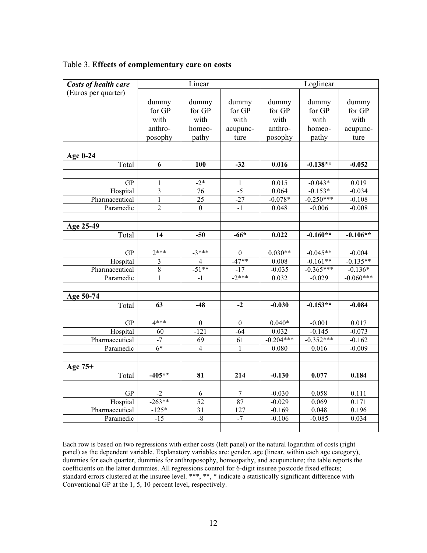| Costs of health care | Linear           |                  |                 | Loglinear   |             |             |
|----------------------|------------------|------------------|-----------------|-------------|-------------|-------------|
| (Euros per quarter)  |                  |                  |                 |             |             |             |
|                      | dummy            | dummy            | dummy           | dummy       | dummy       | dummy       |
|                      | for GP           | for GP           | for GP          | for GP      | for GP      | for GP      |
|                      | with             | with             | with            | with        | with        | with        |
|                      | anthro-          | homeo-           | acupunc-        | anthro-     | homeo-      | acupunc-    |
|                      | posophy          | pathy            | ture            | posophy     | pathy       | ture        |
|                      |                  |                  |                 |             |             |             |
| Age 0-24             |                  |                  |                 |             |             |             |
| Total                | 6                | 100              | $-32$           | 0.016       | $-0.138**$  | $-0.052$    |
|                      |                  |                  |                 |             |             |             |
| <b>GP</b>            | 1                | $-2*$            | 1               | 0.015       | $-0.043*$   | 0.019       |
| Hospital             | $\overline{3}$   | $\overline{76}$  | $-5$            | 0.064       | $-0.153*$   | $-0.034$    |
| Pharmaceutical       | $\mathbf{1}$     | 25               | $-27$           | $-0.078*$   | $-0.250***$ | $-0.108$    |
| Paramedic            | $\boldsymbol{2}$ | $\boldsymbol{0}$ | $-1$            | 0.048       | $-0.006$    | $-0.008$    |
|                      |                  |                  |                 |             |             |             |
| Age 25-49            |                  |                  |                 |             |             |             |
| Total                | 14               | $-50$            | $-66*$          | 0.022       | $-0.160**$  | $-0.106**$  |
|                      |                  |                  |                 |             |             |             |
| <b>GP</b>            | $2***$           | $-3***$          | $\overline{0}$  | $0.030**$   | $-0.045**$  | $-0.004$    |
| Hospital             | $\mathfrak{Z}$   | $\overline{4}$   | $-47**$         | 0.008       | $-0.161**$  | $-0.135**$  |
| Pharmaceutical       | $\overline{8}$   | $-51**$          | $-17$           | $-0.035$    | $-0.365***$ | $-0.136*$   |
| Paramedic            | $\mathbf{1}$     | $-1$             | $-2***$         | 0.032       | $-0.029$    | $-0.060***$ |
| Age 50-74            |                  |                  |                 |             |             |             |
| Total                | 63               | $-48$            | $-2$            | $-0.030$    | $-0.153**$  | $-0.084$    |
|                      |                  |                  |                 |             |             |             |
| GP                   | $4***$           | $\mathbf{0}$     | $\theta$        | $0.040*$    | $-0.001$    | 0.017       |
| Hospital             | $\overline{60}$  | $-121$           | $-64$           | 0.032       | $-0.145$    | $-0.073$    |
| Pharmaceutical       | $-7$             | 69               | $\overline{61}$ | $-0.204***$ | $-0.352***$ | $-0.162$    |
| Paramedic            | $6*$             | $\overline{4}$   | $\mathbf{1}$    | 0.080       | 0.016       | $-0.009$    |
|                      |                  |                  |                 |             |             |             |
| Age 75+              |                  |                  |                 |             |             |             |
| Total                | $-405**$         | 81               | 214             | $-0.130$    | 0.077       | 0.184       |
|                      |                  |                  |                 |             |             |             |
| GP                   | $-2$             | $\overline{6}$   | $\overline{7}$  | $-0.030$    | 0.058       | 0.111       |
| Hospital             | $-263**$         | 52               | 87              | $-0.029$    | 0.069       | 0.171       |
| Pharmaceutical       | $-125*$          | $\overline{31}$  | 127             | $-0.169$    | 0.048       | 0.196       |
| Paramedic            | $-15$            | $-8$             | $-7$            | $-0.106$    | $-0.085$    | 0.034       |
|                      |                  |                  |                 |             |             |             |

|  | Table 3. Effects of complementary care on costs |  |
|--|-------------------------------------------------|--|
|  |                                                 |  |

Each row is based on two regressions with either costs (left panel) or the natural logarithm of costs (right panel) as the dependent variable. Explanatory variables are: gender, age (linear, within each age category), dummies for each quarter, dummies for anthroposophy, homeopathy, and acupuncture; the table reports the coefficients on the latter dummies. All regressions control for 6-digit insuree postcode fixed effects; standard errors clustered at the insuree level. \*\*\*, \*\*, \* indicate a statistically significant difference with Conventional GP at the 1, 5, 10 percent level, respectively.